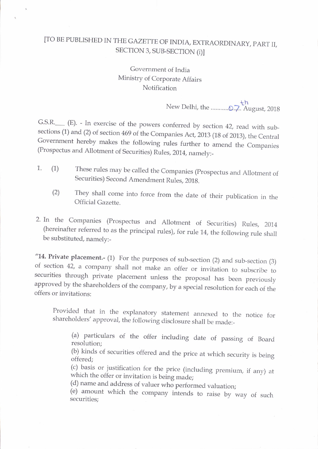## [TO BE PUBLISHED IN THE GAZETTE OF INDIA, EXTRAORDINARY, PART II, SECTION 3, SUB-SECTION (i)]

## Governrnent of India Ministry of Corporate Affairs Notification

New Delhi, tfre ...... ..67.tNugusr,2018

G.S.R. (E). - In exercise of the powers conferred by section 42, read with subsections (1) and (2) of section 469 of the Companies Act, 2013 (18 of 2013), the Central Government hereby makes the following rules further to

- 1. (1) These rules may be called the Companies (Prospectus and Allotment of Securities) Second Amendment Rules, 201g.
	- (2) They shall come into force from the date of their publication in the Official Gazetre.
- 2. In the Companies (Prospectus and Allotment of Securities) Rules, 2014 (hereinafter referred to as the principal rules), for rule 14, the following rule shall be substituted, namely:-

"14. Private placement.- (1) For the purposes of sub-section (2) and sub-section (3) of section 42, a company shall not make an offer or invitation to subscribe to securities through private placement unless the proposal

Provided that in the explanatory statement annexed to the notice for shareholders' approval, the following disclosure shall be made:-

(a) particulars of the offer including date of passing of Board resolution;

(b) kinds of securities offered and the price at which security is being offered:

(c) basis or justification for the price (including premium, if any) at which the offer or invitation is being made;<br>(d) name and address of valuer who performed valuation;

(e) amount which the company intends to raise by way of such securities;